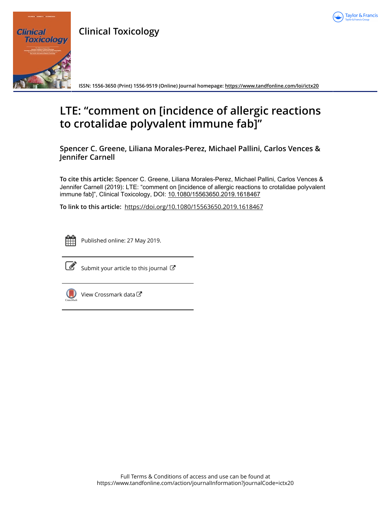

**Clinical Toxicology**



**ISSN: 1556-3650 (Print) 1556-9519 (Online) Journal homepage:<https://www.tandfonline.com/loi/ictx20>**

# **LTE: "comment on [incidence of allergic reactions to crotalidae polyvalent immune fab]"**

**Spencer C. Greene, Liliana Morales-Perez, Michael Pallini, Carlos Vences & Jennifer Carnell**

**To cite this article:** Spencer C. Greene, Liliana Morales-Perez, Michael Pallini, Carlos Vences & Jennifer Carnell (2019): LTE: "comment on [incidence of allergic reactions to crotalidae polyvalent immune fab]", Clinical Toxicology, DOI: [10.1080/15563650.2019.1618467](https://www.tandfonline.com/action/showCitFormats?doi=10.1080/15563650.2019.1618467)

**To link to this article:** <https://doi.org/10.1080/15563650.2019.1618467>



Published online: 27 May 2019.



[Submit your article to this journal](https://www.tandfonline.com/action/authorSubmission?journalCode=ictx20&show=instructions)  $\mathbb{Z}$ 



[View Crossmark data](http://crossmark.crossref.org/dialog/?doi=10.1080/15563650.2019.1618467&domain=pdf&date_stamp=2019-05-27)<sup>で</sup>